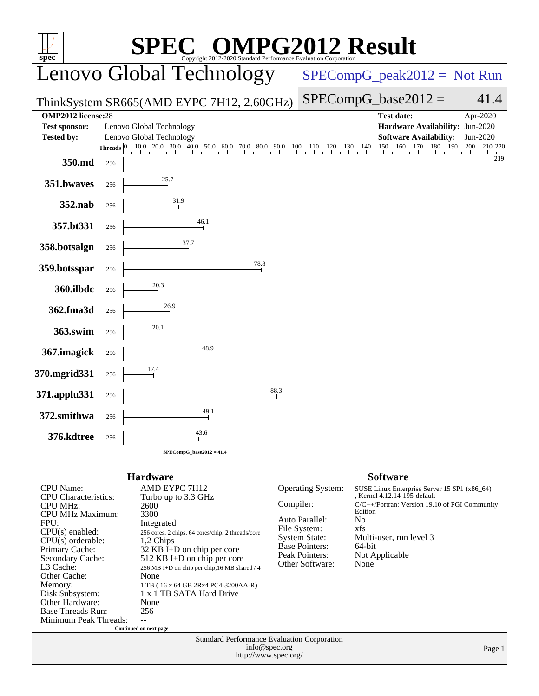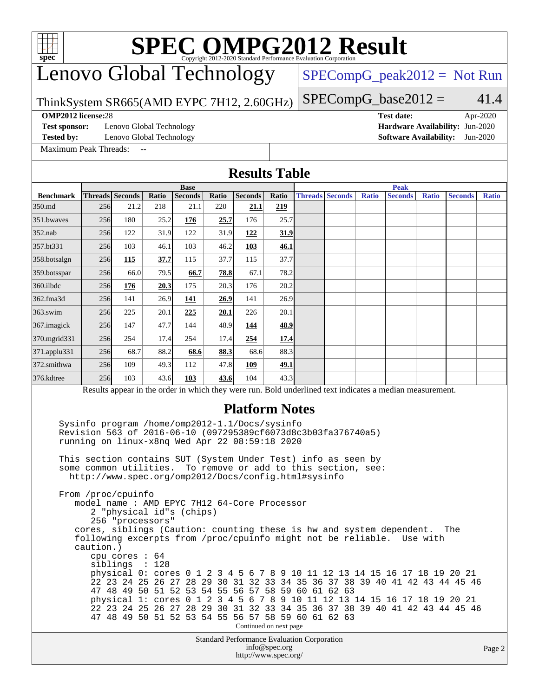# **[SPEC OMPG2012 Result](http://www.spec.org/auto/omp2012/Docs/result-fields.html#SPECOMPG2012Result)**

### Lenovo Global Technology

 $SPECompG_peak2012 = Not Run$  $SPECompG_peak2012 = Not Run$ 

 $SPECompG_base2012 = 41.4$  $SPECompG_base2012 = 41.4$ 

#### ThinkSystem SR665(AMD EYPC 7H12, 2.60GHz)

**[OMP2012 license:](http://www.spec.org/auto/omp2012/Docs/result-fields.html#OMP2012license)**28 **[Test date:](http://www.spec.org/auto/omp2012/Docs/result-fields.html#Testdate)** Apr-2020

**[Test sponsor:](http://www.spec.org/auto/omp2012/Docs/result-fields.html#Testsponsor)** Lenovo Global Technology **[Hardware Availability:](http://www.spec.org/auto/omp2012/Docs/result-fields.html#HardwareAvailability)** Jun-2020

[Maximum Peak Threads:](http://www.spec.org/auto/omp2012/Docs/result-fields.html#MaximumPeakThreads)

**[Tested by:](http://www.spec.org/auto/omp2012/Docs/result-fields.html#Testedby)** Lenovo Global Technology **[Software Availability:](http://www.spec.org/auto/omp2012/Docs/result-fields.html#SoftwareAvailability)** Jun-2020

#### **[Results Table](http://www.spec.org/auto/omp2012/Docs/result-fields.html#ResultsTable) [Benchmark](http://www.spec.org/auto/omp2012/Docs/result-fields.html#Benchmark) [Threads](http://www.spec.org/auto/omp2012/Docs/result-fields.html#Threads) [Seconds](http://www.spec.org/auto/omp2012/Docs/result-fields.html#Seconds) [Ratio](http://www.spec.org/auto/omp2012/Docs/result-fields.html#Ratio) [Seconds](http://www.spec.org/auto/omp2012/Docs/result-fields.html#Seconds) [Ratio](http://www.spec.org/auto/omp2012/Docs/result-fields.html#Ratio) [Seconds](http://www.spec.org/auto/omp2012/Docs/result-fields.html#Seconds) [Ratio](http://www.spec.org/auto/omp2012/Docs/result-fields.html#Ratio) Base [Threads](http://www.spec.org/auto/omp2012/Docs/result-fields.html#Threads) [Seconds](http://www.spec.org/auto/omp2012/Docs/result-fields.html#Seconds) [Ratio](http://www.spec.org/auto/omp2012/Docs/result-fields.html#Ratio) [Seconds](http://www.spec.org/auto/omp2012/Docs/result-fields.html#Seconds) [Ratio](http://www.spec.org/auto/omp2012/Docs/result-fields.html#Ratio) [Seconds](http://www.spec.org/auto/omp2012/Docs/result-fields.html#Seconds) [Ratio](http://www.spec.org/auto/omp2012/Docs/result-fields.html#Ratio) Peak** [350.md](http://www.spec.org/auto/omp2012/Docs/350.md.html) 256 21.2 218 21.1 220 **[21.1](http://www.spec.org/auto/omp2012/Docs/result-fields.html#Median) [219](http://www.spec.org/auto/omp2012/Docs/result-fields.html#Median)** [351.bwaves](http://www.spec.org/auto/omp2012/Docs/351.bwaves.html) 256 180 25.2 **[176](http://www.spec.org/auto/omp2012/Docs/result-fields.html#Median) [25.7](http://www.spec.org/auto/omp2012/Docs/result-fields.html#Median)** 176 25.7 [352.nab](http://www.spec.org/auto/omp2012/Docs/352.nab.html) 256 122 31.9 122 31.9 **[122](http://www.spec.org/auto/omp2012/Docs/result-fields.html#Median) [31.9](http://www.spec.org/auto/omp2012/Docs/result-fields.html#Median)** [357.bt331](http://www.spec.org/auto/omp2012/Docs/357.bt331.html) 256 103 46.1 103 46.2 **[103](http://www.spec.org/auto/omp2012/Docs/result-fields.html#Median) [46.1](http://www.spec.org/auto/omp2012/Docs/result-fields.html#Median)** [358.botsalgn](http://www.spec.org/auto/omp2012/Docs/358.botsalgn.html) 256 **[115](http://www.spec.org/auto/omp2012/Docs/result-fields.html#Median) [37.7](http://www.spec.org/auto/omp2012/Docs/result-fields.html#Median)** 115 37.7 115 37.7 [359.botsspar](http://www.spec.org/auto/omp2012/Docs/359.botsspar.html) 256 66.0 79.5 **[66.7](http://www.spec.org/auto/omp2012/Docs/result-fields.html#Median) [78.8](http://www.spec.org/auto/omp2012/Docs/result-fields.html#Median)** 67.1 78.2 [360.ilbdc](http://www.spec.org/auto/omp2012/Docs/360.ilbdc.html) 256 **[176](http://www.spec.org/auto/omp2012/Docs/result-fields.html#Median) [20.3](http://www.spec.org/auto/omp2012/Docs/result-fields.html#Median)** 175 20.3 176 20.2 [362.fma3d](http://www.spec.org/auto/omp2012/Docs/362.fma3d.html) 256 141 26.9 **[141](http://www.spec.org/auto/omp2012/Docs/result-fields.html#Median) [26.9](http://www.spec.org/auto/omp2012/Docs/result-fields.html#Median)** 141 26.9 [363.swim](http://www.spec.org/auto/omp2012/Docs/363.swim.html) 256 225 20.1 **[225](http://www.spec.org/auto/omp2012/Docs/result-fields.html#Median) [20.1](http://www.spec.org/auto/omp2012/Docs/result-fields.html#Median)** 226 20.1 [367.imagick](http://www.spec.org/auto/omp2012/Docs/367.imagick.html) 256 147 47.7 144 48.9 **[144](http://www.spec.org/auto/omp2012/Docs/result-fields.html#Median) [48.9](http://www.spec.org/auto/omp2012/Docs/result-fields.html#Median)** [370.mgrid331](http://www.spec.org/auto/omp2012/Docs/370.mgrid331.html) 256 254 17.4 254 17.4 **[254](http://www.spec.org/auto/omp2012/Docs/result-fields.html#Median) [17.4](http://www.spec.org/auto/omp2012/Docs/result-fields.html#Median)** [371.applu331](http://www.spec.org/auto/omp2012/Docs/371.applu331.html) 256 68.7 88.2 **[68.6](http://www.spec.org/auto/omp2012/Docs/result-fields.html#Median) [88.3](http://www.spec.org/auto/omp2012/Docs/result-fields.html#Median)** 68.6 88.3 [372.smithwa](http://www.spec.org/auto/omp2012/Docs/372.smithwa.html) 256 109 49.3 112 47.8 **[109](http://www.spec.org/auto/omp2012/Docs/result-fields.html#Median) [49.1](http://www.spec.org/auto/omp2012/Docs/result-fields.html#Median)** [376.kdtree](http://www.spec.org/auto/omp2012/Docs/376.kdtree.html) 256 103 43.6 **[103](http://www.spec.org/auto/omp2012/Docs/result-fields.html#Median) [43.6](http://www.spec.org/auto/omp2012/Docs/result-fields.html#Median)** 104 43.3 Results appear in the [order in which they were run.](http://www.spec.org/auto/omp2012/Docs/result-fields.html#RunOrder) Bold underlined text [indicates a median measurement.](http://www.spec.org/auto/omp2012/Docs/result-fields.html#Median) **[Platform Notes](http://www.spec.org/auto/omp2012/Docs/result-fields.html#PlatformNotes)** Sysinfo program /home/omp2012-1.1/Docs/sysinfo Revision 563 of 2016-06-10 (097295389cf6073d8c3b03fa376740a5) running on linux-x8nq Wed Apr 22 08:59:18 2020 This section contains SUT (System Under Test) info as seen by some common utilities. To remove or add to this section, see: <http://www.spec.org/omp2012/Docs/config.html#sysinfo> From /proc/cpuinfo model name : AMD EPYC 7H12 64-Core Processor 2 "physical id"s (chips) 256 "processors"

 cores, siblings (Caution: counting these is hw and system dependent. The following excerpts from /proc/cpuinfo might not be reliable. Use with caution.) cpu cores : 64 siblings : 128 physical 0: cores 0 1 2 3 4 5 6 7 8 9 10 11 12 13 14 15 16 17 18 19 20 21 22 23 24 25 26 27 28 29 30 31 32 33 34 35 36 37 38 39 40 41 42 43 44 45 46 47 48 49 50 51 52 53 54 55 56 57 58 59 60 61 62 63 physical 1: cores 0 1 2 3 4 5 6 7 8 9 10 11 12 13 14 15 16 17 18 19 20 21 22 23 24 25 26 27 28 29 30 31 32 33 34 35 36 37 38 39 40 41 42 43 44 45 46

> Standard Performance Evaluation Corporation [info@spec.org](mailto:info@spec.org) <http://www.spec.org/>

Continued on next page

47 48 49 50 51 52 53 54 55 56 57 58 59 60 61 62 63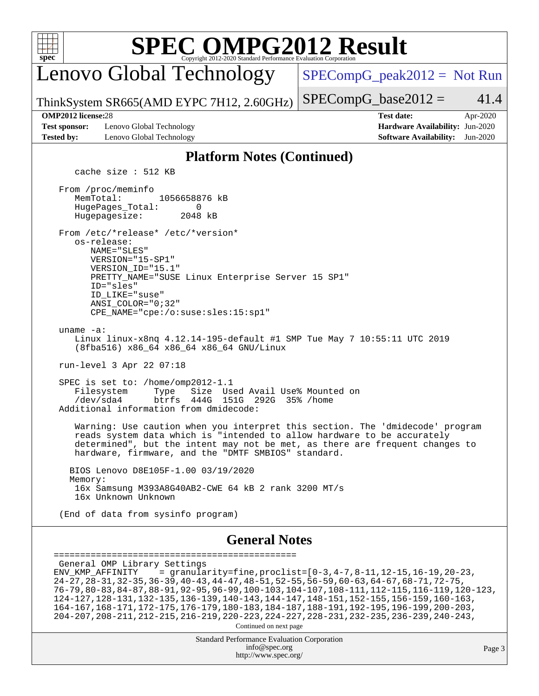

## **[SPEC OMPG2012 Result](http://www.spec.org/auto/omp2012/Docs/result-fields.html#SPECOMPG2012Result)**

Lenovo Global Technology

 $SPECompG_peak2012 = Not Run$  $SPECompG_peak2012 = Not Run$ 

ThinkSystem SR665(AMD EYPC 7H12, 2.60GHz)

 $SPECompG_base2012 = 41.4$  $SPECompG_base2012 = 41.4$ 

**[Test sponsor:](http://www.spec.org/auto/omp2012/Docs/result-fields.html#Testsponsor)** Lenovo Global Technology **[Hardware Availability:](http://www.spec.org/auto/omp2012/Docs/result-fields.html#HardwareAvailability)** Jun-2020 **[Tested by:](http://www.spec.org/auto/omp2012/Docs/result-fields.html#Testedby)** Lenovo Global Technology **[Software Availability:](http://www.spec.org/auto/omp2012/Docs/result-fields.html#SoftwareAvailability)** Jun-2020

**[OMP2012 license:](http://www.spec.org/auto/omp2012/Docs/result-fields.html#OMP2012license)**28 **[Test date:](http://www.spec.org/auto/omp2012/Docs/result-fields.html#Testdate)** Apr-2020

#### **[Platform Notes \(Continued\)](http://www.spec.org/auto/omp2012/Docs/result-fields.html#PlatformNotes)**

cache size : 512 KB

 From /proc/meminfo MemTotal: 1056658876 kB HugePages\_Total: 0<br>Hugepagesize: 2048 kB Hugepagesize: From /etc/\*release\* /etc/\*version\* os-release: NAME="SLES" VERSION="15-SP1" VERSION\_ID="15.1" PRETTY NAME="SUSE Linux Enterprise Server 15 SP1" ID="sles" ID\_LIKE="suse" ANSI\_COLOR="0;32" CPE\_NAME="cpe:/o:suse:sles:15:sp1"

uname -a:

 Linux linux-x8nq 4.12.14-195-default #1 SMP Tue May 7 10:55:11 UTC 2019 (8fba516) x86\_64 x86\_64 x86\_64 GNU/Linux

run-level 3 Apr 22 07:18

SPEC is set to: /home/omp2012-1.1<br>Filesystem Type Size Us Type Size Used Avail Use% Mounted on /dev/sda4 btrfs 444G 151G 292G 35% /home Additional information from dmidecode:

 Warning: Use caution when you interpret this section. The 'dmidecode' program reads system data which is "intended to allow hardware to be accurately determined", but the intent may not be met, as there are frequent changes to hardware, firmware, and the "DMTF SMBIOS" standard.

 BIOS Lenovo D8E105F-1.00 03/19/2020 Memory: 16x Samsung M393A8G40AB2-CWE 64 kB 2 rank 3200 MT/s 16x Unknown Unknown

(End of data from sysinfo program)

### **[General Notes](http://www.spec.org/auto/omp2012/Docs/result-fields.html#GeneralNotes)**

```
==============================================
 General OMP Library Settings
ENV KMP AFFINITY = granularity=fine,proclist=[0-3, 4-7, 8-11, 12-15, 16-19, 20-23, 24-27,28-31,32-35,36-39,40-43,44-47,48-51,52-55,56-59,60-63,64-67,68-71,72-75,
 76-79,80-83,84-87,88-91,92-95,96-99,100-103,104-107,108-111,112-115,116-119,120-123,
  124-127,128-131,132-135,136-139,140-143,144-147,148-151,152-155,156-159,160-163,
  164-167,168-171,172-175,176-179,180-183,184-187,188-191,192-195,196-199,200-203,
  204-207,208-211,212-215,216-219,220-223,224-227,228-231,232-235,236-239,240-243,
                                   Continued on next page
```
Standard Performance Evaluation Corporation [info@spec.org](mailto:info@spec.org) <http://www.spec.org/>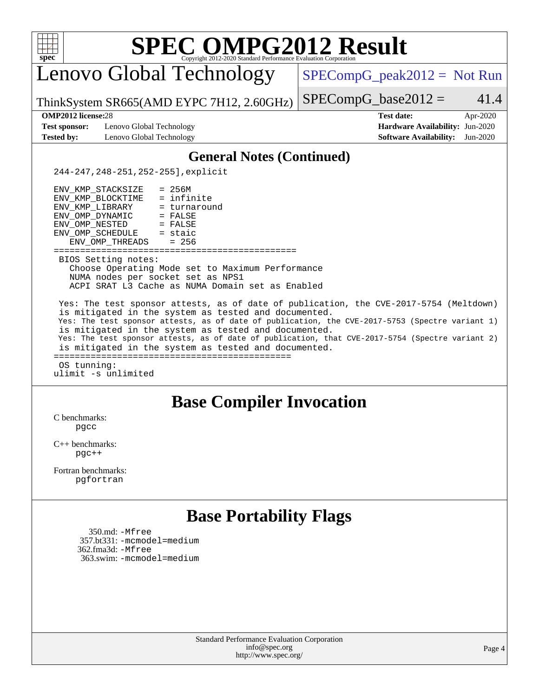| <b>SPEC OMPG2012 Result</b><br>spec <sup>®</sup><br>Convright 2012-2020 Standard Performance Evaluation Corporation                                                                                                                                                                                                                                                                                                                                                                                                                                  |                                                                                                               |
|------------------------------------------------------------------------------------------------------------------------------------------------------------------------------------------------------------------------------------------------------------------------------------------------------------------------------------------------------------------------------------------------------------------------------------------------------------------------------------------------------------------------------------------------------|---------------------------------------------------------------------------------------------------------------|
| Lenovo Global Technology                                                                                                                                                                                                                                                                                                                                                                                                                                                                                                                             | $SPECompG_peak2012 = Not Run$                                                                                 |
| ThinkSystem SR665(AMD EYPC 7H12, 2.60GHz)                                                                                                                                                                                                                                                                                                                                                                                                                                                                                                            | $SPECompG_base2012 =$<br>41.4                                                                                 |
| <b>OMP2012</b> license:28<br><b>Test sponsor:</b><br>Lenovo Global Technology<br><b>Tested by:</b><br>Lenovo Global Technology                                                                                                                                                                                                                                                                                                                                                                                                                       | <b>Test date:</b><br>Apr-2020<br>Hardware Availability: Jun-2020<br><b>Software Availability:</b><br>Jun-2020 |
| <b>General Notes (Continued)</b>                                                                                                                                                                                                                                                                                                                                                                                                                                                                                                                     |                                                                                                               |
| 244-247, 248-251, 252-255], explicit                                                                                                                                                                                                                                                                                                                                                                                                                                                                                                                 |                                                                                                               |
| $= 256M$<br>ENV_KMP_STACKSIZE<br>= infinite<br>ENV KMP BLOCKTIME<br>ENV KMP LIBRARY<br>= turnaround<br>ENV_OMP_DYNAMIC<br>$=$ FALSE<br>ENV OMP NESTED<br>$=$ FALSE<br>$=$ staic<br>ENV_OMP_SCHEDULE<br>ENV OMP THREADS<br>$= 256$<br>:================                                                                                                                                                                                                                                                                                               |                                                                                                               |
| BIOS Setting notes:<br>Choose Operating Mode set to Maximum Performance<br>NUMA nodes per socket set as NPS1<br>ACPI SRAT L3 Cache as NUMA Domain set as Enabled                                                                                                                                                                                                                                                                                                                                                                                     |                                                                                                               |
| Yes: The test sponsor attests, as of date of publication, the CVE-2017-5754 (Meltdown)<br>is mitigated in the system as tested and documented.<br>Yes: The test sponsor attests, as of date of publication, the CVE-2017-5753 (Spectre variant 1)<br>is mitigated in the system as tested and documented.<br>Yes: The test sponsor attests, as of date of publication, that CVE-2017-5754 (Spectre variant 2)<br>is mitigated in the system as tested and documented.<br>=====================================<br>OS tunning:<br>ulimit -s unlimited |                                                                                                               |
| <b>Base Compiler Invocation</b><br>C benchmarks:<br>pgcc                                                                                                                                                                                                                                                                                                                                                                                                                                                                                             |                                                                                                               |
| $C_{++}$ benchmarks:<br>$pgC++$                                                                                                                                                                                                                                                                                                                                                                                                                                                                                                                      |                                                                                                               |
| Fortran benchmarks:<br>pgfortran                                                                                                                                                                                                                                                                                                                                                                                                                                                                                                                     |                                                                                                               |
| <b>Base Portability Flags</b>                                                                                                                                                                                                                                                                                                                                                                                                                                                                                                                        |                                                                                                               |
| 350.md: -Mfree<br>357.bt331: -mcmodel=medium<br>362.fma3d: -Mfree<br>363.swim: -mcmodel=medium                                                                                                                                                                                                                                                                                                                                                                                                                                                       |                                                                                                               |
|                                                                                                                                                                                                                                                                                                                                                                                                                                                                                                                                                      |                                                                                                               |

Standard Performance Evaluation Corporation [info@spec.org](mailto:info@spec.org) <http://www.spec.org/>